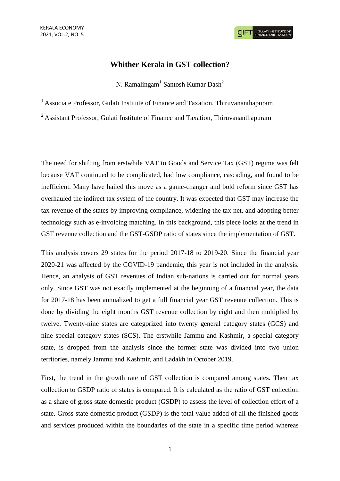# **Whither Kerala in GST collection?**

N. Ramalingam<sup>1</sup> Santosh Kumar Dash<sup>2</sup>

<sup>1</sup> Associate Professor, Gulati Institute of Finance and Taxation, Thiruvananthapuram

<sup>2</sup> Assistant Professor, Gulati Institute of Finance and Taxation, Thiruvananthapuram

The need for shifting from erstwhile VAT to Goods and Service Tax (GST) regime was felt because VAT continued to be complicated, had low compliance, cascading, and found to be inefficient. Many have hailed this move as a game-changer and bold reform since GST has overhauled the indirect tax system of the country. It was expected that GST may increase the tax revenue of the states by improving compliance, widening the tax net, and adopting better technology such as e-invoicing matching. In this background, this piece looks at the trend in GST revenue collection and the GST-GSDP ratio of states since the implementation of GST.

This analysis covers 29 states for the period 2017-18 to 2019-20. Since the financial year 2020-21 was affected by the COVID-19 pandemic, this year is not included in the analysis. Hence, an analysis of GST revenues of Indian sub-nations is carried out for normal years only. Since GST was not exactly implemented at the beginning of a financial year, the data for 2017-18 has been annualized to get a full financial year GST revenue collection. This is done by dividing the eight months GST revenue collection by eight and then multiplied by twelve. Twenty-nine states are categorized into twenty general category states (GCS) and nine special category states (SCS). The erstwhile Jammu and Kashmir, a special category state, is dropped from the analysis since the former state was divided into two union territories, namely Jammu and Kashmir, and Ladakh in October 2019.

First, the trend in the growth rate of GST collection is compared among states. Then tax collection to GSDP ratio of states is compared. It is calculated as the ratio of GST collection as a share of gross state domestic product (GSDP) to assess the level of collection effort of a state. Gross state domestic product (GSDP) is the total value added of all the finished goods and services produced within the boundaries of the state in a specific time period whereas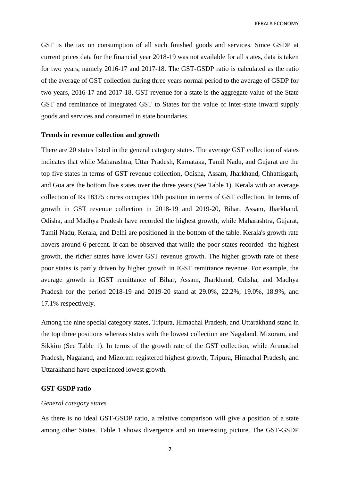KERALA ECONOMY

GST is the tax on consumption of all such finished goods and services. Since GSDP at current prices data for the financial year 2018-19 was not available for all states, data is taken for two years, namely 2016-17 and 2017-18. The GST-GSDP ratio is calculated as the ratio of the average of GST collection during three years normal period to the average of GSDP for two years, 2016-17 and 2017-18. GST revenue for a state is the aggregate value of the State GST and remittance of Integrated GST to States for the value of inter-state inward supply goods and services and consumed in state boundaries.

#### **Trends in revenue collection and growth**

There are 20 states listed in the general category states. The average GST collection of states indicates that while Maharashtra, Uttar Pradesh, Karnataka, Tamil Nadu, and Gujarat are the top five states in terms of GST revenue collection, Odisha, Assam, Jharkhand, Chhattisgarh, and Goa are the bottom five states over the three years (See Table 1). Kerala with an average collection of Rs 18375 crores occupies 10th position in terms of GST collection. In terms of growth in GST revenue collection in 2018-19 and 2019-20, Bihar, Assam, Jharkhand, Odisha, and Madhya Pradesh have recorded the highest growth, while Maharashtra, Gujarat, Tamil Nadu, Kerala, and Delhi are positioned in the bottom of the table. Kerala's growth rate hovers around 6 percent. It can be observed that while the poor states recorded the highest growth, the richer states have lower GST revenue growth. The higher growth rate of these poor states is partly driven by higher growth in IGST remittance revenue. For example, the average growth in IGST remittance of Bihar, Assam, Jharkhand, Odisha, and Madhya Pradesh for the period 2018-19 and 2019-20 stand at 29.0%, 22.2%, 19.0%, 18.9%, and 17.1% respectively.

Among the nine special category states, Tripura, Himachal Pradesh, and Uttarakhand stand in the top three positions whereas states with the lowest collection are Nagaland, Mizoram, and Sikkim (See Table 1). In terms of the growth rate of the GST collection, while Arunachal Pradesh, Nagaland, and Mizoram registered highest growth, Tripura, Himachal Pradesh, and Uttarakhand have experienced lowest growth.

## **GST-GSDP ratio**

## *General category states*

As there is no ideal GST-GSDP ratio, a relative comparison will give a position of a state among other States. Table 1 shows divergence and an interesting picture. The GST-GSDP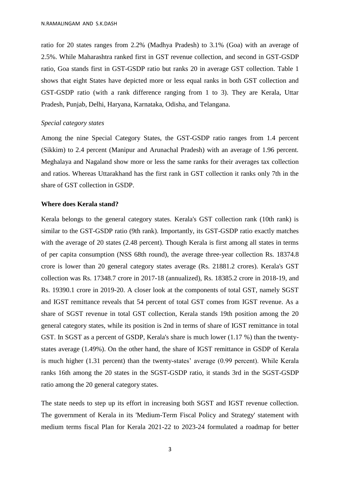ratio for 20 states ranges from 2.2% (Madhya Pradesh) to 3.1% (Goa) with an average of 2.5%. While Maharashtra ranked first in GST revenue collection, and second in GST-GSDP ratio, Goa stands first in GST-GSDP ratio but ranks 20 in average GST collection. Table 1 shows that eight States have depicted more or less equal ranks in both GST collection and GST-GSDP ratio (with a rank difference ranging from 1 to 3). They are Kerala, Uttar Pradesh, Punjab, Delhi, Haryana, Karnataka, Odisha, and Telangana.

## *Special category states*

Among the nine Special Category States, the GST-GSDP ratio ranges from 1.4 percent (Sikkim) to 2.4 percent (Manipur and Arunachal Pradesh) with an average of 1.96 percent. Meghalaya and Nagaland show more or less the same ranks for their averages tax collection and ratios. Whereas Uttarakhand has the first rank in GST collection it ranks only 7th in the share of GST collection in GSDP.

#### **Where does Kerala stand?**

Kerala belongs to the general category states. Kerala's GST collection rank (10th rank) is similar to the GST-GSDP ratio (9th rank). Importantly, its GST-GSDP ratio exactly matches with the average of 20 states (2.48 percent). Though Kerala is first among all states in terms of per capita consumption (NSS 68th round), the average three-year collection Rs. 18374.8 crore is lower than 20 general category states average (Rs. 21881.2 crores). Kerala's GST collection was Rs. 17348.7 crore in 2017-18 (annualized), Rs. 18385.2 crore in 2018-19, and Rs. 19390.1 crore in 2019-20. A closer look at the components of total GST, namely SGST and IGST remittance reveals that 54 percent of total GST comes from IGST revenue. As a share of SGST revenue in total GST collection, Kerala stands 19th position among the 20 general category states, while its position is 2nd in terms of share of IGST remittance in total GST. In SGST as a percent of GSDP, Kerala's share is much lower (1.17 %) than the twentystates average (1.49%). On the other hand, the share of IGST remittance in GSDP of Kerala is much higher (1.31 percent) than the twenty-states' average (0.99 percent). While Kerala ranks 16th among the 20 states in the SGST-GSDP ratio, it stands 3rd in the SGST-GSDP ratio among the 20 general category states.

The state needs to step up its effort in increasing both SGST and IGST revenue collection. The government of Kerala in its 'Medium-Term Fiscal Policy and Strategy' statement with medium terms fiscal Plan for Kerala 2021-22 to 2023-24 formulated a roadmap for better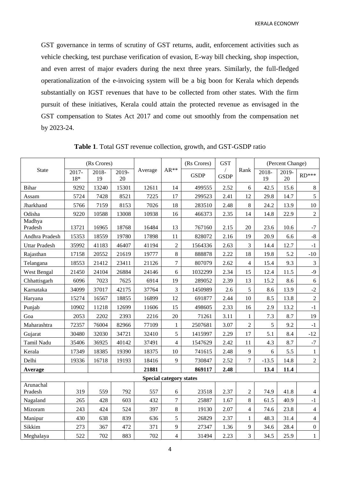GST governance in terms of scrutiny of GST returns, audit, enforcement activities such as vehicle checking, test purchase verification of evasion, E-way bill checking, shop inspection, and even arrest of major evaders during the next three years. Similarly, the full-fledged operationalization of the e-invoicing system will be a big boon for Kerala which depends substantially on IGST revenues that have to be collected from other states. With the firm pursuit of these initiatives, Kerala could attain the protected revenue as envisaged in the GST compensation to States Act 2017 and come out smoothly from the compensation net by 2023-24.

| <b>State</b>                   | (Rs Crores)    |                |             |         |                | (Rs Crores) | <b>GST</b>                |                | (Percent Change) |             |                  |
|--------------------------------|----------------|----------------|-------------|---------|----------------|-------------|---------------------------|----------------|------------------|-------------|------------------|
|                                | 2017-<br>$18*$ | $2018 -$<br>19 | 2019-<br>20 | Average | $AR**$         | <b>GSDP</b> | $\sqrt{2}$<br><b>GSDP</b> | Rank           | $2018 -$<br>19   | 2019-<br>20 | $RD***$          |
| Bihar                          | 9292           | 13240          | 15301       | 12611   | 14             | 499555      | 2.52                      | 6              | 42.5             | 15.6        | $8\,$            |
| Assam                          | 5724           | 7428           | 8521        | 7225    | 17             | 299523      | 2.41                      | 12             | 29.8             | 14.7        | 5                |
| Jharkhand                      | 5766           | 7159           | 8153        | 7026    | 18             | 283510      | 2.48                      | 8              | 24.2             | 13.9        | 10               |
| Odisha                         | 9220           | 10588          | 13008       | 10938   | 16             | 466373      | 2.35                      | 14             | 14.8             | 22.9        | $\sqrt{2}$       |
| Madhya<br>Pradesh              | 13721          | 16965          | 18768       | 16484   | 13             | 767160      | 2.15                      | 20             | 23.6             | 10.6        | $-7$             |
| Andhra Pradesh                 | 15353          | 18559          | 19780       | 17898   | 11             | 828072      | 2.16                      | 19             | 20.9             | 6.6         | $-8$             |
| <b>Uttar Pradesh</b>           | 35992          | 41183          | 46407       | 41194   | $\overline{2}$ | 1564336     | 2.63                      | $\overline{3}$ | 14.4             | 12.7        | $-1$             |
| Rajasthan                      | 17158          | 20552          | 21619       | 19777   | 8              | 888878      | 2.22                      | 18             | 19.8             | 5.2         | $-10$            |
| Telangana                      | 18553          | 21412          | 23411       | 21126   | $\tau$         | 807079      | 2.62                      | $\overline{4}$ | 15.4             | 9.3         | $\overline{3}$   |
| West Bengal                    | 21450          | 24104          | 26884       | 24146   | 6              | 1032299     | 2.34                      | 15             | 12.4             | 11.5        | $-9$             |
| Chhattisgarh                   | 6096           | 7023           | 7625        | 6914    | 19             | 289052      | 2.39                      | 13             | 15.2             | 8.6         | $\sqrt{6}$       |
| Karnataka                      | 34099          | 37017          | 42175       | 37764   | 3              | 1450989     | 2.6                       | 5              | 8.6              | 13.9        | $-2$             |
| Haryana                        | 15274          | 16567          | 18855       | 16899   | 12             | 691877      | 2.44                      | 10             | 8.5              | 13.8        | $\sqrt{2}$       |
| Punjab                         | 10902          | 11218          | 12699       | 11606   | 15             | 498605      | 2.33                      | 16             | 2.9              | 13.2        | $-1$             |
| Goa                            | 2053           | 2202           | 2393        | 2216    | 20             | 71261       | 3.11                      | $\mathbf{1}$   | 7.3              | 8.7         | 19               |
| Maharashtra                    | 72357          | 76004          | 82966       | 77109   | $\mathbf 1$    | 2507681     | 3.07                      | $\overline{c}$ | 5                | 9.2         | $-1$             |
| Gujarat                        | 30480          | 32030          | 34721       | 32410   | 5              | 1415997     | 2.29                      | 17             | 5.1              | 8.4         | $-12$            |
| Tamil Nadu                     | 35406          | 36925          | 40142       | 37491   | $\overline{4}$ | 1547629     | 2.42                      | 11             | 4.3              | 8.7         | $-7$             |
| Kerala                         | 17349          | 18385          | 19390       | 18375   | 10             | 741615      | 2.48                      | 9              | 6                | 5.5         | $\mathbf{1}$     |
| Delhi                          | 19336          | 16718          | 19193       | 18416   | 9              | 730847      | 2.52                      | 7              | $-13.5$          | 14.8        | $\overline{c}$   |
| Average                        |                |                |             | 21881   |                | 869117      | 2.48                      |                | 13.4             | 11.4        |                  |
| <b>Special category states</b> |                |                |             |         |                |             |                           |                |                  |             |                  |
| Arunachal<br>Pradesh           | 319            | 559            | 792         | 557     | 6              | 23518       | 2.37                      | $\overline{c}$ | 74.9             | 41.8        | $\overline{4}$   |
| Nagaland                       | 265            | 428            | 603         | 432     | $\overline{7}$ | 25887       | 1.67                      | 8              | 61.5             | 40.9        | $-1$             |
| Mizoram                        | 243            | 424            | 524         | 397     | 8              | 19130       | 2.07                      | $\overline{4}$ | 74.6             | 23.8        | $\overline{4}$   |
| Manipur                        | 430            | 638            | 839         | 636     | 5              | 26829       | 2.37                      | $\mathbf{1}$   | 48.3             | 31.4        | $\overline{4}$   |
| Sikkim                         | 273            | 367            | 472         | 371     | 9              | 27347       | 1.36                      | 9              | 34.6             | 28.4        | $\boldsymbol{0}$ |
| Meghalaya                      | 522            | 702            | 883         | 702     | $\overline{4}$ | 31494       | 2.23                      | 3              | 34.5             | 25.9        | $\mathbf{1}$     |

**Table 1**. Total GST revenue collection, growth, and GST-GSDP ratio